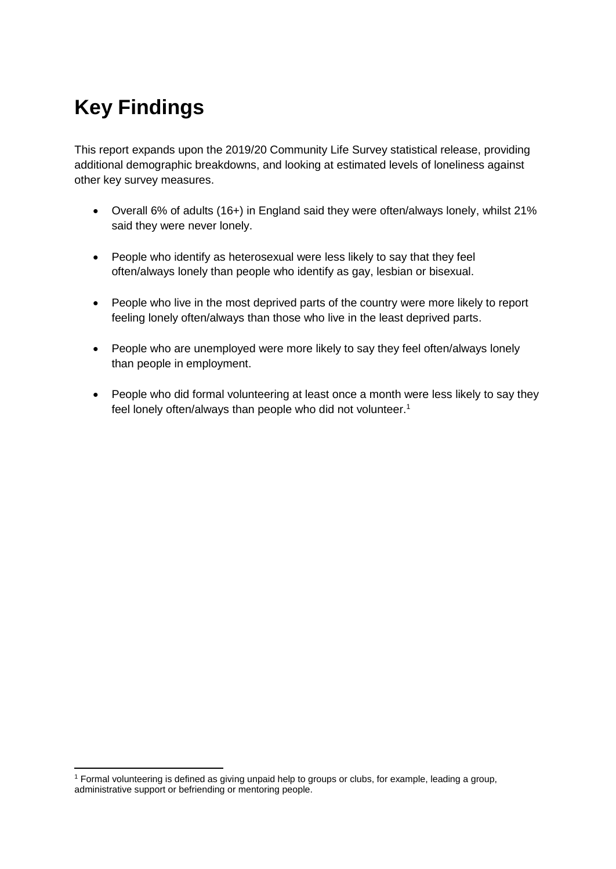# **Key Findings**

-

This report expands upon the 2019/20 Community Life Survey statistical release, providing additional demographic breakdowns, and looking at estimated levels of loneliness against other key survey measures.

- Overall 6% of adults (16+) in England said they were often/always lonely, whilst 21% said they were never lonely.
- People who identify as heterosexual were less likely to say that they feel often/always lonely than people who identify as gay, lesbian or bisexual.
- People who live in the most deprived parts of the country were more likely to report feeling lonely often/always than those who live in the least deprived parts.
- People who are unemployed were more likely to say they feel often/always lonely than people in employment.
- People who did formal volunteering at least once a month were less likely to say they feel lonely often/always than people who did not volunteer.<sup>1</sup>

<sup>1</sup> Formal volunteering is defined as giving unpaid help to groups or clubs, for example, leading a group, administrative support or befriending or mentoring people.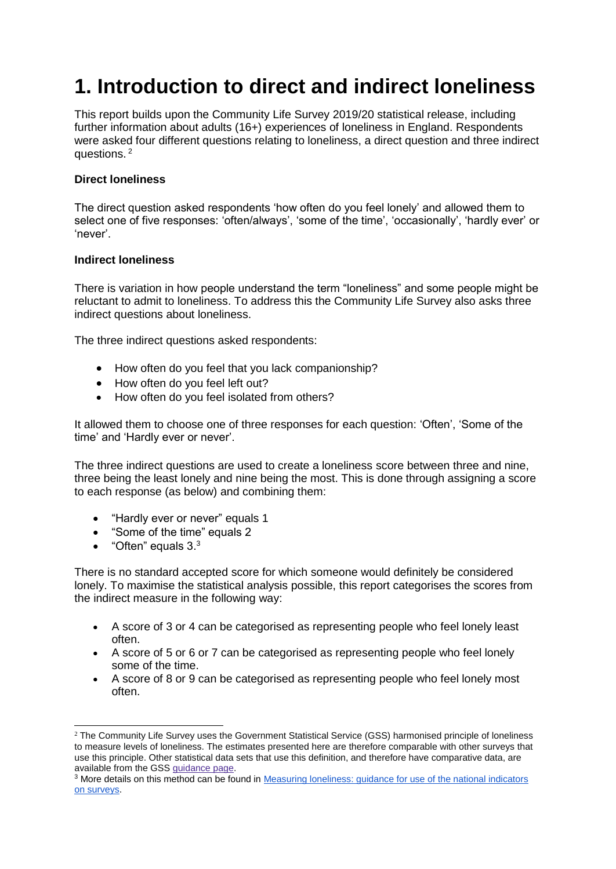# **1. Introduction to direct and indirect loneliness**

This report builds upon the Community Life Survey 2019/20 statistical release, including further information about adults (16+) experiences of loneliness in England. Respondents were asked four different questions relating to loneliness, a direct question and three indirect questions.<sup>2</sup>

### **Direct loneliness**

The direct question asked respondents 'how often do you feel lonely' and allowed them to select one of five responses: 'often/always', 'some of the time', 'occasionally', 'hardly ever' or 'never'.

#### **Indirect loneliness**

There is variation in how people understand the term "loneliness" and some people might be reluctant to admit to loneliness. To address this the Community Life Survey also asks three indirect questions about loneliness.

The three indirect questions asked respondents:

- How often do you feel that you lack companionship?
- How often do you feel left out?
- How often do you feel isolated from others?

It allowed them to choose one of three responses for each question: 'Often', 'Some of the time' and 'Hardly ever or never'.

The three indirect questions are used to create a loneliness score between three and nine, three being the least lonely and nine being the most. This is done through assigning a score to each response (as below) and combining them:

- "Hardly ever or never" equals 1
- "Some of the time" equals 2
- $\bullet$  "Often" equals  $3.^3$

There is no standard accepted score for which someone would definitely be considered lonely. To maximise the statistical analysis possible, this report categorises the scores from the indirect measure in the following way:

- A score of 3 or 4 can be categorised as representing people who feel lonely least often.
- A score of 5 or 6 or 7 can be categorised as representing people who feel lonely some of the time.
- A score of 8 or 9 can be categorised as representing people who feel lonely most often.

<sup>-</sup><sup>2</sup> The Community Life Survey uses the Government Statistical Service (GSS) harmonised principle of loneliness to measure levels of loneliness. The estimates presented here are therefore comparable with other surveys that use this principle. Other statistical data sets that use this definition, and therefore have comparative data, are available from the GSS [guidance](https://gss.civilservice.gov.uk/policy-store/loneliness-indicators/) page.

<sup>3</sup> More details on this method can be found in [Measuring loneliness: guidance for use of the national indicators](https://www.ons.gov.uk/peoplepopulationandcommunity/wellbeing/methodologies/measuringlonelinessguidanceforuseofthenationalindicatorsonsurveys#recommended-measures-for-adults)  [on surveys.](https://www.ons.gov.uk/peoplepopulationandcommunity/wellbeing/methodologies/measuringlonelinessguidanceforuseofthenationalindicatorsonsurveys#recommended-measures-for-adults)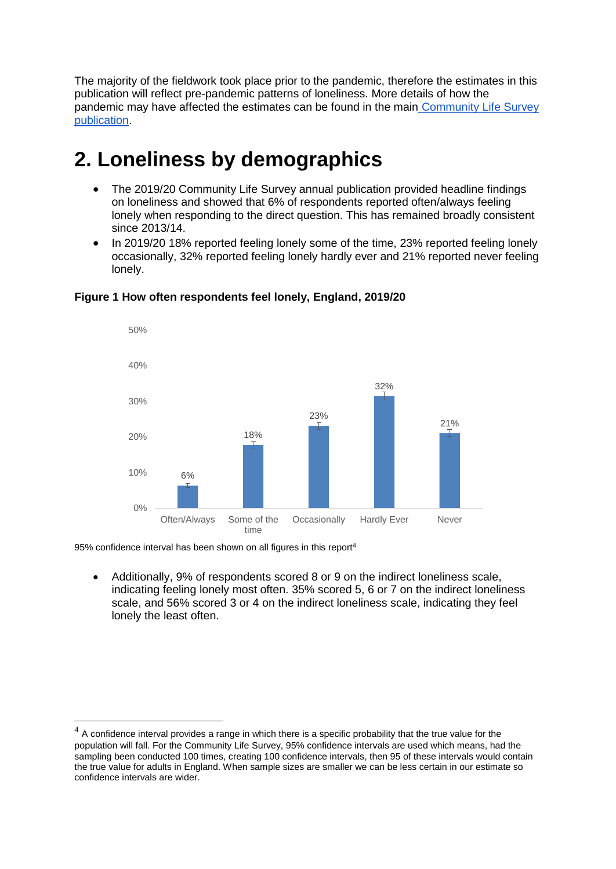The majority of the fieldwork took place prior to the pandemic, therefore the estimates in this publication will reflect pre-pandemic patterns of loneliness. More details of how the pandemic may have affected the estimates can be found in the main [Community Life Survey](https://www.gov.uk/government/publications/community-life-survey-201920-annexes/annex-b-note-on-covid-19)  [publication.](https://www.gov.uk/government/publications/community-life-survey-201920-annexes/annex-b-note-on-covid-19)

# **2. Loneliness by demographics**

- The 2019/20 Community Life Survey annual publication provided headline findings on loneliness and showed that 6% of respondents reported often/always feeling lonely when responding to the direct question. This has remained broadly consistent since 2013/14.
- In 2019/20 18% reported feeling lonely some of the time, 23% reported feeling lonely occasionally, 32% reported feeling lonely hardly ever and 21% reported never feeling lonely.



# **Figure 1 How often respondents feel lonely, England, 2019/20**

95% confidence interval has been shown on all figures in this report<sup>4</sup>

-

 Additionally, 9% of respondents scored 8 or 9 on the indirect loneliness scale, indicating feeling lonely most often. 35% scored 5, 6 or 7 on the indirect loneliness scale, and 56% scored 3 or 4 on the indirect loneliness scale, indicating they feel lonely the least often.

 $<sup>4</sup>$  A confidence interval provides a range in which there is a specific probability that the true value for the</sup> population will fall. For the Community Life Survey, 95% confidence intervals are used which means, had the sampling been conducted 100 times, creating 100 confidence intervals, then 95 of these intervals would contain the true value for adults in England. When sample sizes are smaller we can be less certain in our estimate so confidence intervals are wider.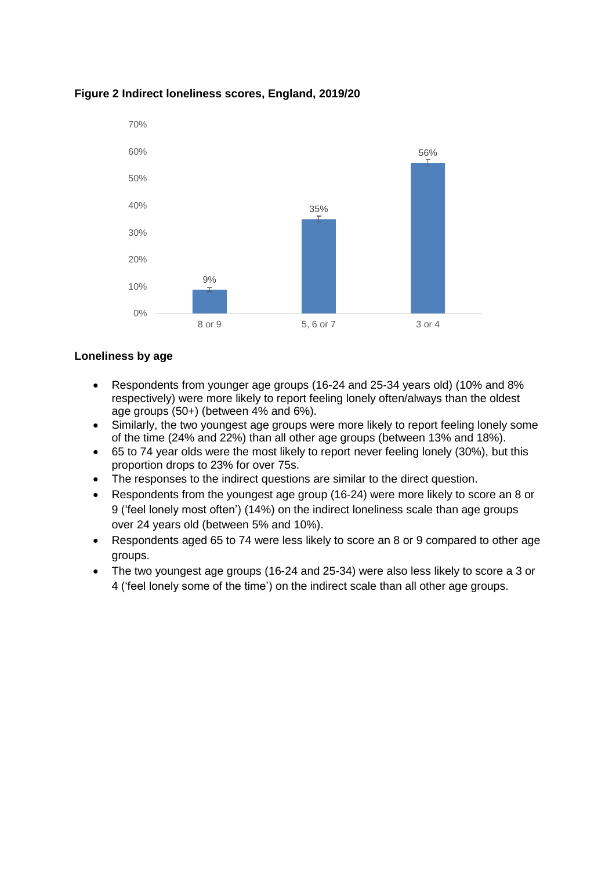

# **Figure 2 Indirect loneliness scores, England, 2019/20**

# **Loneliness by age**

- Respondents from younger age groups (16-24 and 25-34 years old) (10% and 8% respectively) were more likely to report feeling lonely often/always than the oldest age groups (50+) (between 4% and 6%).
- Similarly, the two youngest age groups were more likely to report feeling lonely some of the time (24% and 22%) than all other age groups (between 13% and 18%).
- 65 to 74 year olds were the most likely to report never feeling lonely (30%), but this proportion drops to 23% for over 75s.
- The responses to the indirect questions are similar to the direct question.
- Respondents from the youngest age group (16-24) were more likely to score an 8 or 9 ('feel lonely most often') (14%) on the indirect loneliness scale than age groups over 24 years old (between 5% and 10%).
- Respondents aged 65 to 74 were less likely to score an 8 or 9 compared to other age groups.
- The two youngest age groups (16-24 and 25-34) were also less likely to score a 3 or 4 ('feel lonely some of the time') on the indirect scale than all other age groups.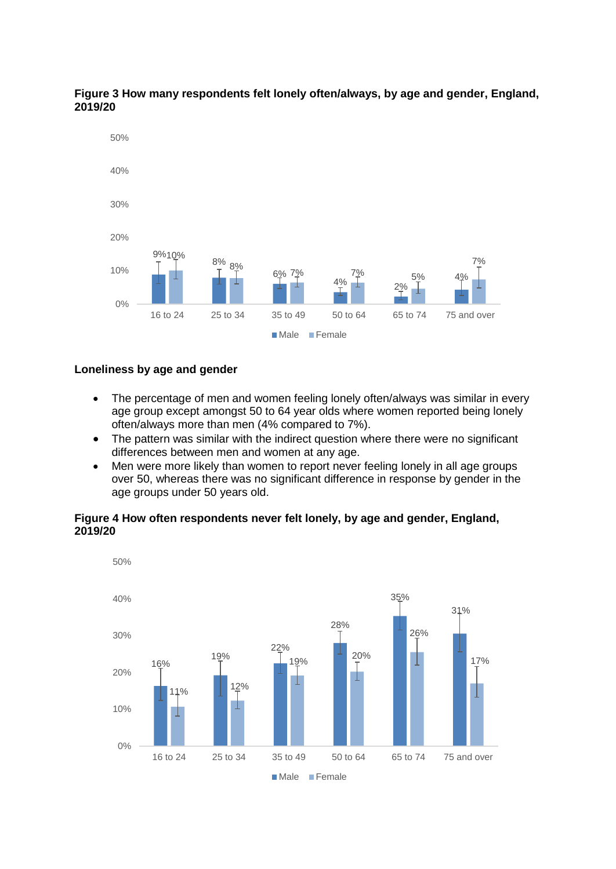

### **Figure 3 How many respondents felt lonely often/always, by age and gender, England, 2019/20**

#### **Loneliness by age and gender**

- The percentage of men and women feeling lonely often/always was similar in every age group except amongst 50 to 64 year olds where women reported being lonely often/always more than men (4% compared to 7%).
- The pattern was similar with the indirect question where there were no significant differences between men and women at any age.
- Men were more likely than women to report never feeling lonely in all age groups over 50, whereas there was no significant difference in response by gender in the age groups under 50 years old.

### **Figure 4 How often respondents never felt lonely, by age and gender, England, 2019/20**

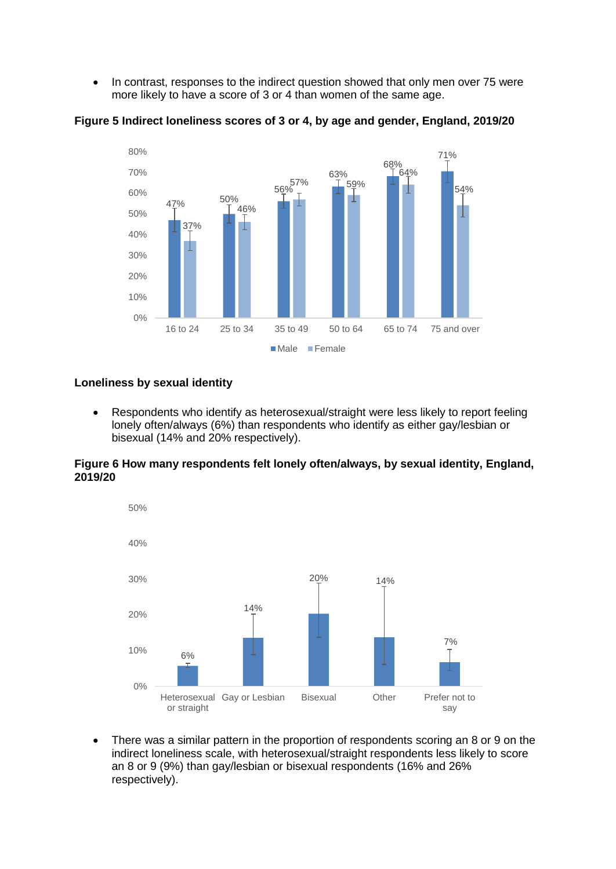• In contrast, responses to the indirect question showed that only men over 75 were more likely to have a score of 3 or 4 than women of the same age.



**Figure 5 Indirect loneliness scores of 3 or 4, by age and gender, England, 2019/20**

#### **Loneliness by sexual identity**

 Respondents who identify as heterosexual/straight were less likely to report feeling lonely often/always (6%) than respondents who identify as either gay/lesbian or bisexual (14% and 20% respectively).

#### **Figure 6 How many respondents felt lonely often/always, by sexual identity, England, 2019/20**



• There was a similar pattern in the proportion of respondents scoring an 8 or 9 on the indirect loneliness scale, with heterosexual/straight respondents less likely to score an 8 or 9 (9%) than gay/lesbian or bisexual respondents (16% and 26% respectively).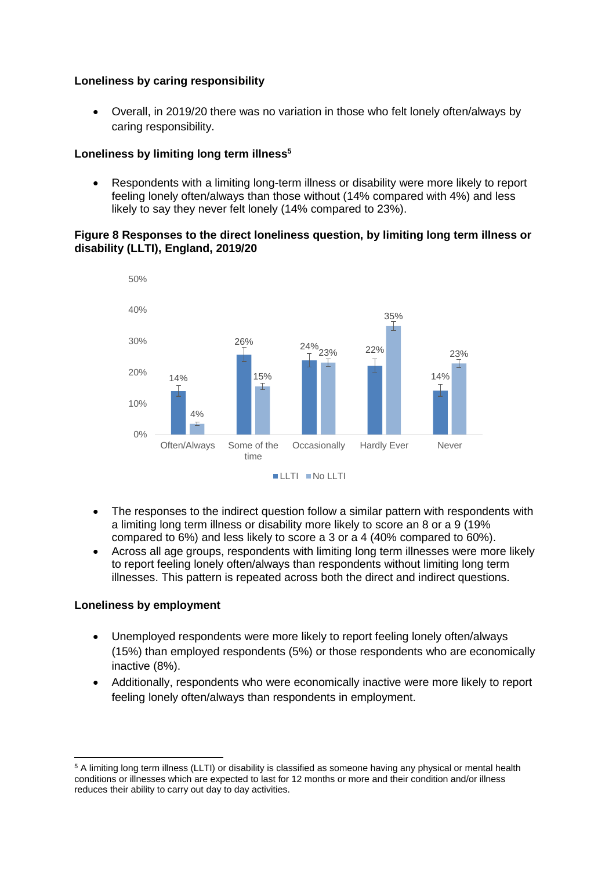#### **Loneliness by caring responsibility**

 Overall, in 2019/20 there was no variation in those who felt lonely often/always by caring responsibility.

### **Loneliness by limiting long term illness<sup>5</sup>**

 Respondents with a limiting long-term illness or disability were more likely to report feeling lonely often/always than those without (14% compared with 4%) and less likely to say they never felt lonely (14% compared to 23%).

#### **Figure 8 Responses to the direct loneliness question, by limiting long term illness or disability (LLTI), England, 2019/20**





- The responses to the indirect question follow a similar pattern with respondents with a limiting long term illness or disability more likely to score an 8 or a 9 (19% compared to 6%) and less likely to score a 3 or a 4 (40% compared to 60%).
- Across all age groups, respondents with limiting long term illnesses were more likely to report feeling lonely often/always than respondents without limiting long term illnesses. This pattern is repeated across both the direct and indirect questions.

# **Loneliness by employment**

-

- Unemployed respondents were more likely to report feeling lonely often/always (15%) than employed respondents (5%) or those respondents who are economically inactive (8%).
- Additionally, respondents who were economically inactive were more likely to report feeling lonely often/always than respondents in employment.

<sup>5</sup> A limiting long term illness (LLTI) or disability is classified as someone having any physical or mental health conditions or illnesses which are expected to last for 12 months or more and their condition and/or illness reduces their ability to carry out day to day activities.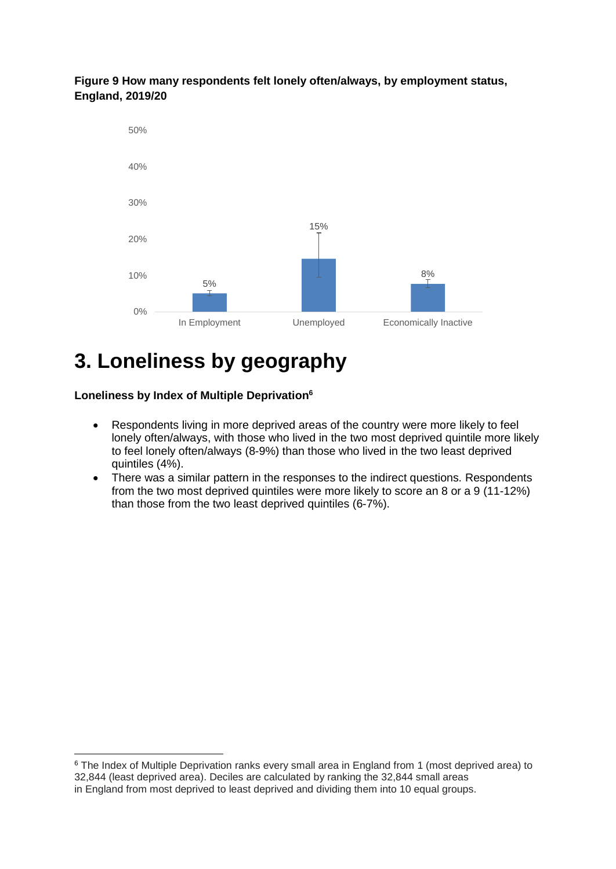# **Figure 9 How many respondents felt lonely often/always, by employment status, England, 2019/20**



# **3. Loneliness by geography**

**Loneliness by Index of Multiple Deprivation<sup>6</sup>**

-

- Respondents living in more deprived areas of the country were more likely to feel lonely often/always, with those who lived in the two most deprived quintile more likely to feel lonely often/always (8-9%) than those who lived in the two least deprived quintiles (4%).
- There was a similar pattern in the responses to the indirect questions. Respondents from the two most deprived quintiles were more likely to score an 8 or a 9 (11-12%) than those from the two least deprived quintiles (6-7%).

<sup>6</sup> The Index of Multiple Deprivation ranks every small area in England from 1 (most deprived area) to 32,844 (least deprived area). Deciles are calculated by ranking the 32,844 small areas in England from most deprived to least deprived and dividing them into 10 equal groups.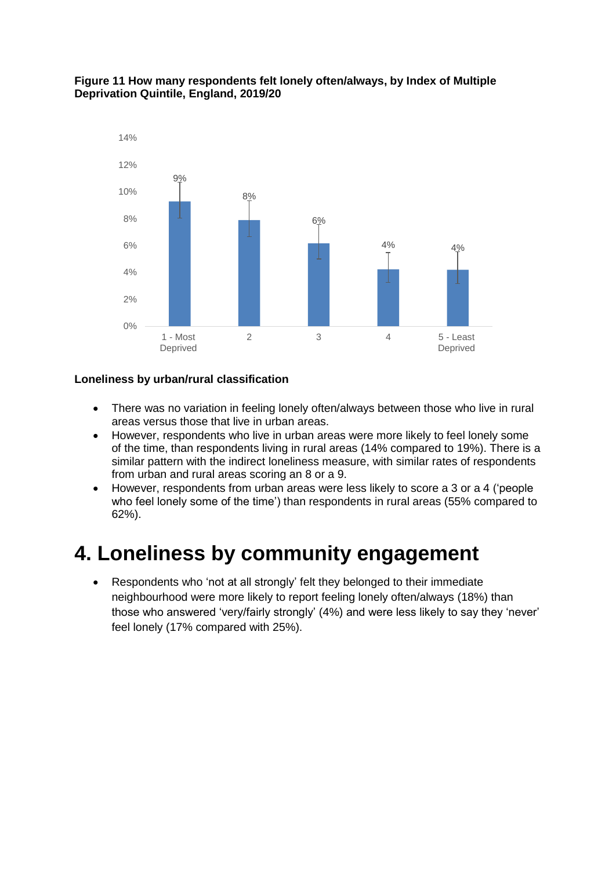#### **Figure 11 How many respondents felt lonely often/always, by Index of Multiple Deprivation Quintile, England, 2019/20**



### **Loneliness by urban/rural classification**

- There was no variation in feeling lonely often/always between those who live in rural areas versus those that live in urban areas.
- However, respondents who live in urban areas were more likely to feel lonely some of the time, than respondents living in rural areas (14% compared to 19%). There is a similar pattern with the indirect loneliness measure, with similar rates of respondents from urban and rural areas scoring an 8 or a 9.
- However, respondents from urban areas were less likely to score a 3 or a 4 ('people who feel lonely some of the time') than respondents in rural areas (55% compared to 62%).

# **4. Loneliness by community engagement**

 Respondents who 'not at all strongly' felt they belonged to their immediate neighbourhood were more likely to report feeling lonely often/always (18%) than those who answered 'very/fairly strongly' (4%) and were less likely to say they 'never' feel lonely (17% compared with 25%).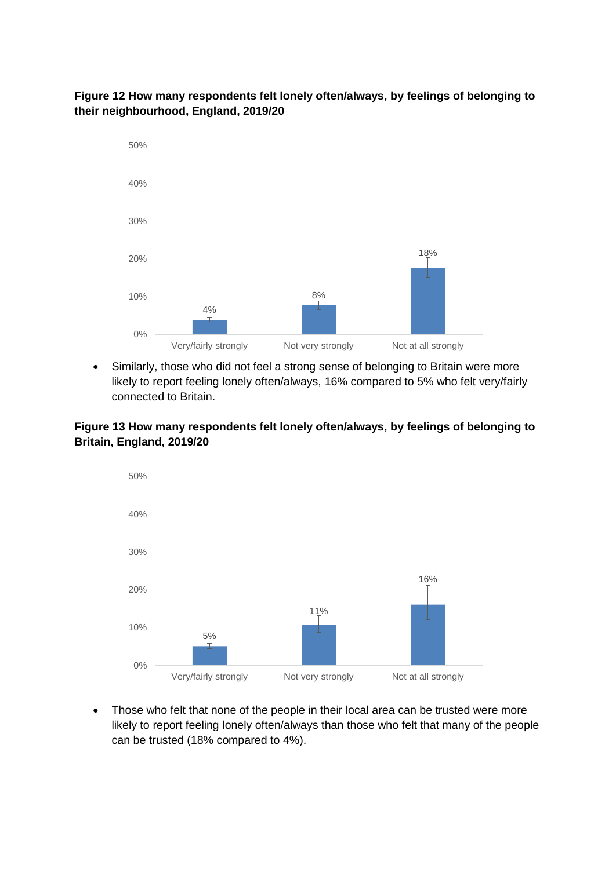### **Figure 12 How many respondents felt lonely often/always, by feelings of belonging to their neighbourhood, England, 2019/20**



 Similarly, those who did not feel a strong sense of belonging to Britain were more likely to report feeling lonely often/always, 16% compared to 5% who felt very/fairly connected to Britain.

# **Figure 13 How many respondents felt lonely often/always, by feelings of belonging to Britain, England, 2019/20**



 Those who felt that none of the people in their local area can be trusted were more likely to report feeling lonely often/always than those who felt that many of the people can be trusted (18% compared to 4%).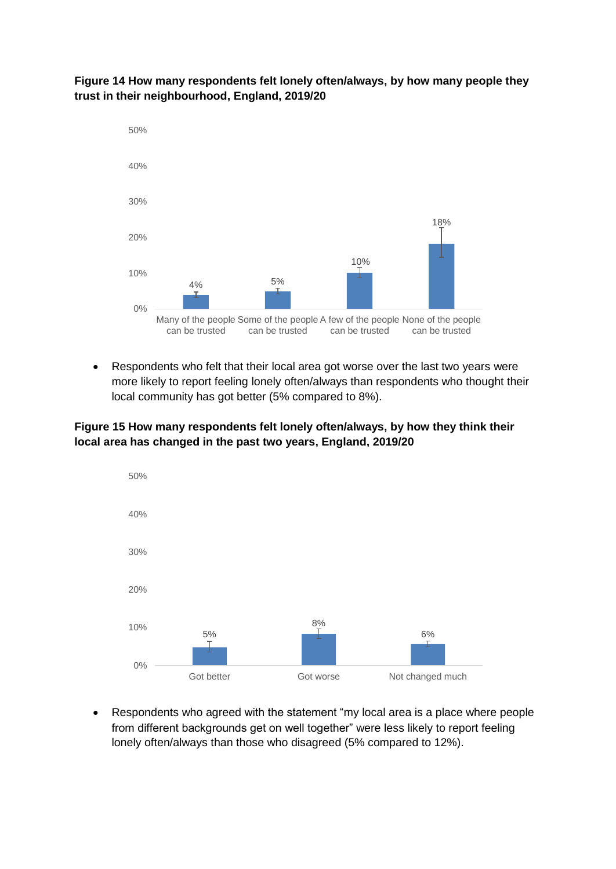### **Figure 14 How many respondents felt lonely often/always, by how many people they trust in their neighbourhood, England, 2019/20**



 Respondents who felt that their local area got worse over the last two years were more likely to report feeling lonely often/always than respondents who thought their local community has got better (5% compared to 8%).

**Figure 15 How many respondents felt lonely often/always, by how they think their local area has changed in the past two years, England, 2019/20**



 Respondents who agreed with the statement "my local area is a place where people from different backgrounds get on well together" were less likely to report feeling lonely often/always than those who disagreed (5% compared to 12%).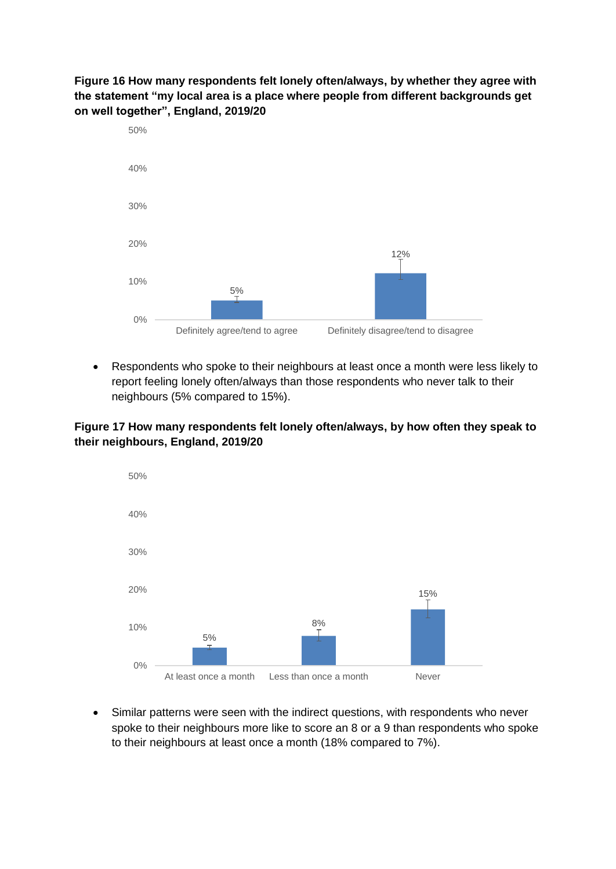# **Figure 16 How many respondents felt lonely often/always, by whether they agree with the statement "my local area is a place where people from different backgrounds get on well together", England, 2019/20**



 Respondents who spoke to their neighbours at least once a month were less likely to report feeling lonely often/always than those respondents who never talk to their neighbours (5% compared to 15%).

# **Figure 17 How many respondents felt lonely often/always, by how often they speak to their neighbours, England, 2019/20**



 Similar patterns were seen with the indirect questions, with respondents who never spoke to their neighbours more like to score an 8 or a 9 than respondents who spoke to their neighbours at least once a month (18% compared to 7%).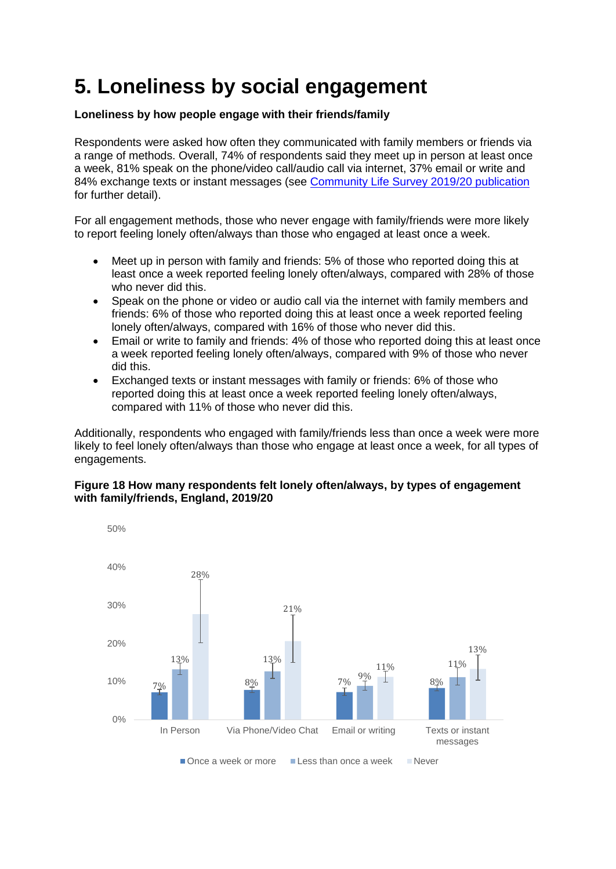# **5. Loneliness by social engagement**

### **Loneliness by how people engage with their friends/family**

Respondents were asked how often they communicated with family members or friends via a range of methods. Overall, 74% of respondents said they meet up in person at least once a week, 81% speak on the phone/video call/audio call via internet, 37% email or write and 84% exchange texts or instant messages (see [Community Life Survey 2019/20 publication](https://www.gov.uk/government/statistics/community-life-survey-201920) for further detail).

For all engagement methods, those who never engage with family/friends were more likely to report feeling lonely often/always than those who engaged at least once a week.

- Meet up in person with family and friends: 5% of those who reported doing this at least once a week reported feeling lonely often/always, compared with 28% of those who never did this.
- Speak on the phone or video or audio call via the internet with family members and friends: 6% of those who reported doing this at least once a week reported feeling lonely often/always, compared with 16% of those who never did this.
- Email or write to family and friends: 4% of those who reported doing this at least once a week reported feeling lonely often/always, compared with 9% of those who never did this.
- Exchanged texts or instant messages with family or friends: 6% of those who reported doing this at least once a week reported feeling lonely often/always, compared with 11% of those who never did this.

Additionally, respondents who engaged with family/friends less than once a week were more likely to feel lonely often/always than those who engage at least once a week, for all types of engagements.

#### **Figure 18 How many respondents felt lonely often/always, by types of engagement with family/friends, England, 2019/20**

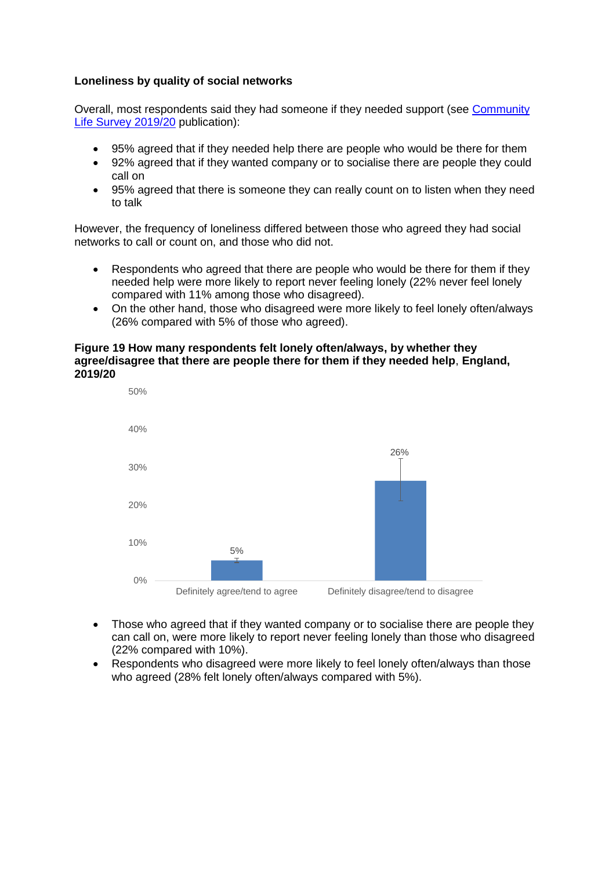#### **Loneliness by quality of social networks**

Overall, most respondents said they had someone if they needed support (see [Community](https://www.gov.uk/government/statistics/community-life-survey-201920)  [Life Survey 2019/20](https://www.gov.uk/government/statistics/community-life-survey-201920) publication):

- 95% agreed that if they needed help there are people who would be there for them
- 92% agreed that if they wanted company or to socialise there are people they could call on
- 95% agreed that there is someone they can really count on to listen when they need to talk

However, the frequency of loneliness differed between those who agreed they had social networks to call or count on, and those who did not.

- Respondents who agreed that there are people who would be there for them if they needed help were more likely to report never feeling lonely (22% never feel lonely compared with 11% among those who disagreed).
- On the other hand, those who disagreed were more likely to feel lonely often/always (26% compared with 5% of those who agreed).

#### **Figure 19 How many respondents felt lonely often/always, by whether they agree/disagree that there are people there for them if they needed help**, **England, 2019/20**



- Those who agreed that if they wanted company or to socialise there are people they can call on, were more likely to report never feeling lonely than those who disagreed (22% compared with 10%).
- Respondents who disagreed were more likely to feel lonely often/always than those who agreed (28% felt lonely often/always compared with 5%).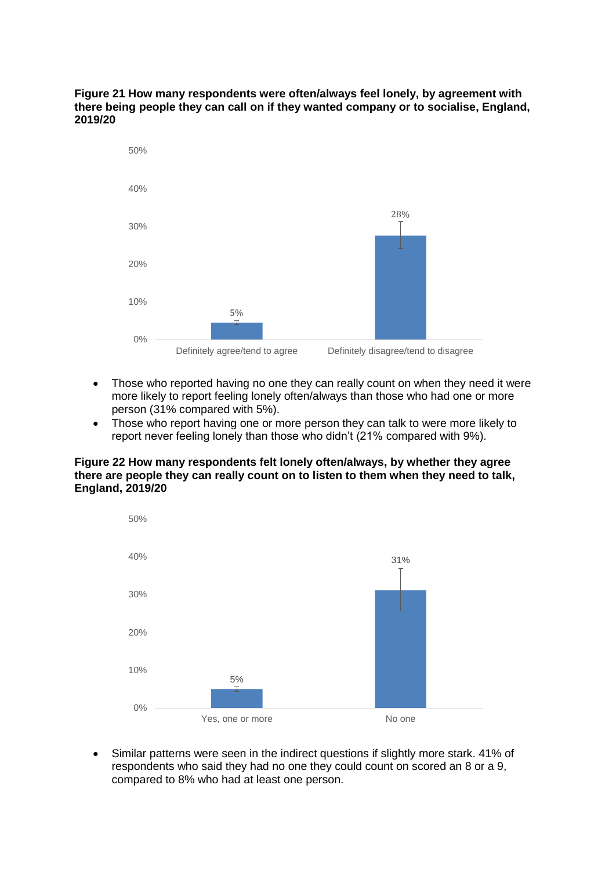**Figure 21 How many respondents were often/always feel lonely, by agreement with there being people they can call on if they wanted company or to socialise, England, 2019/20**



- Those who reported having no one they can really count on when they need it were more likely to report feeling lonely often/always than those who had one or more person (31% compared with 5%).
- Those who report having one or more person they can talk to were more likely to report never feeling lonely than those who didn't (21% compared with 9%).

#### **Figure 22 How many respondents felt lonely often/always, by whether they agree there are people they can really count on to listen to them when they need to talk, England, 2019/20**



 Similar patterns were seen in the indirect questions if slightly more stark. 41% of respondents who said they had no one they could count on scored an 8 or a 9, compared to 8% who had at least one person.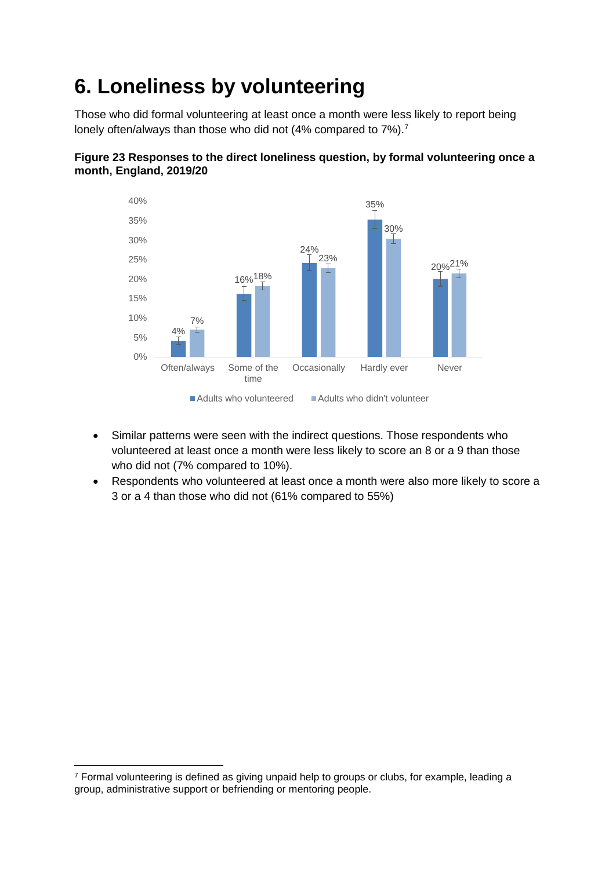# **6. Loneliness by volunteering**

Those who did formal volunteering at least once a month were less likely to report being lonely often/always than those who did not (4% compared to 7%).<sup>7</sup>



# **Figure 23 Responses to the direct loneliness question, by formal volunteering once a month, England, 2019/20**

- Similar patterns were seen with the indirect questions. Those respondents who volunteered at least once a month were less likely to score an 8 or a 9 than those who did not (7% compared to 10%).
- Respondents who volunteered at least once a month were also more likely to score a 3 or a 4 than those who did not (61% compared to 55%)

-

<sup>&</sup>lt;sup>7</sup> Formal volunteering is defined as giving unpaid help to groups or clubs, for example, leading a group, administrative support or befriending or mentoring people.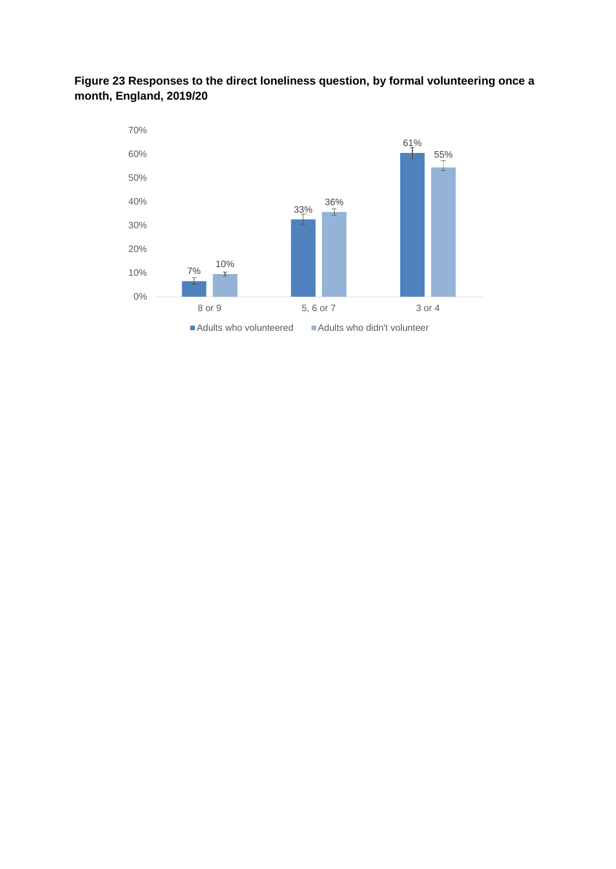# **Figure 23 Responses to the direct loneliness question, by formal volunteering once a month, England, 2019/20**